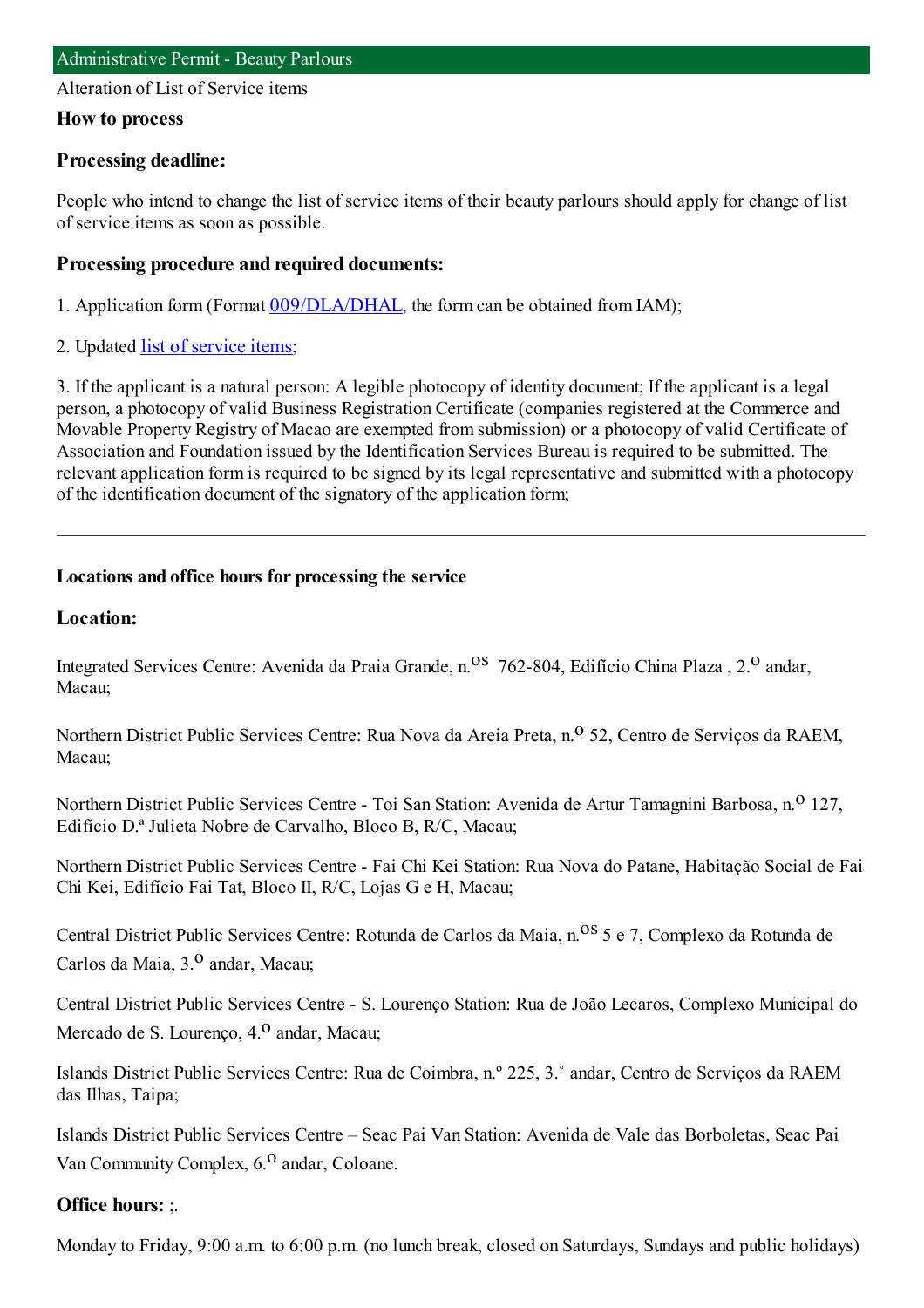Alteration of List of Service items

## **How to process**

## **Processing deadline:**

People who intend to change the list of service items of their beauty parlours should apply for change of list of service items as soon as possible.

## **Processing procedure and required documents:**

1. Application form (Format [009/DLA/DHAL](https://www.iam.gov.mo/c/pdf/eformDetail/PDF363), the form can be obtained from IAM);

2. Updated list of [service](https://www.iam.gov.mo/c/pdf/eformDetail/PDF1019) items;

3. If the applicant is a natural person: A legible photocopy of identity document; If the applicant is a legal person, a photocopy of valid Business Registration Certificate (companies registered at the Commerce and Movable Property Registry of Macao are exempted fromsubmission) or a photocopy of valid Certificate of Association and Foundation issued by the Identification Services Bureau is required to be submitted. The relevant application formis required to be signed by its legal representative and submitted with a photocopy of the identification document of the signatory of the application form;

# **Locations and office hours for processing the service**

# **Location:**

Integrated Services Centre: Avenida da Praia Grande, n.<sup>08</sup> 762-804, Edifício China Plaza , 2.<sup>0</sup> andar, Macau;

Northern District Public Services Centre: Rua Nova da Areia Preta, n.<sup>o</sup> 52, Centro de Servicos da RAEM, Macau;

Northern District Public Services Centre - Toi San Station: Avenida de Artur Tamagnini Barbosa, n.<sup>0</sup> 127, Edifício D.ª Julieta Nobre de Carvalho, Bloco B, R/C, Macau;

Northern District Public Services Centre - Fai Chi Kei Station: Rua Nova do Patane, Habitação Social de Fai Chi Kei, Edifício Fai Tat, Bloco II, R/C, Lojas G e H, Macau;

Central District Public Services Centre: Rotunda de Carlos da Maia, n.<sup>08</sup> 5 e 7, Complexo da Rotunda de Carlos da Maia,  $3<sup>0</sup>$  andar, Macau;

Central District Public Services Centre - S. Lourenço Station: Rua de João Lecaros, Complexo Municipal do Mercado de S. Lourenço, 4.<sup>0</sup> andar, Macau;

Islands District Public Services Centre: Rua de Coimbra, n.º 225, 3.˚ andar, Centro de Serviços da RAEM das Ilhas, Taipa;

Islands District Public Services Centre – Seac Pai Van Station: Avenida de Vale das Borboletas, Seac Pai Van Community Complex, 6.<sup>0</sup> andar, Coloane.

#### **Office hours:** ;.

Monday to Friday, 9:00 a.m. to 6:00 p.m. (no lunch break, closed on Saturdays, Sundays and public holidays)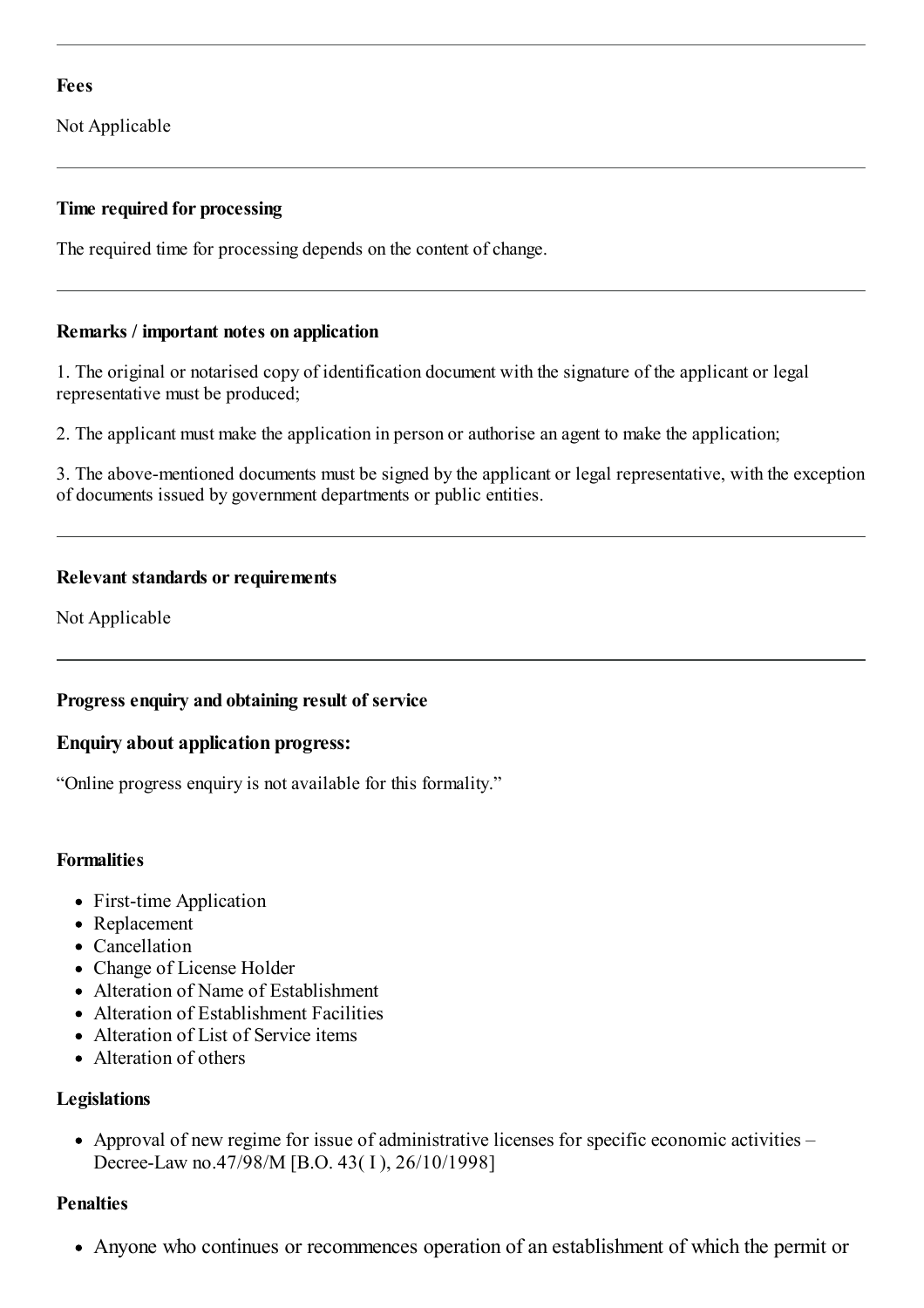## **Fees**

Not Applicable

## **Time required for processing**

The required time for processing depends on the content of change.

#### **Remarks / important notes on application**

1. The original or notarised copy of identification document with the signature of the applicant or legal representative must be produced;

2. The applicant must make the application in person or authorise an agent to make the application;

3. The above-mentioned documents must be signed by the applicant or legal representative, with the exception of documents issued by government departments or public entities.

## **Relevant standards or requirements**

Not Applicable

#### **Progress enquiry and obtaining result of service**

# **Enquiry about application progress:**

"Online progress enquiry is not available for this formality."

#### **Formalities**

- First-time Application
- Replacement
- Cancellation
- Change of License Holder
- Alteration of Name of Establishment
- Alteration of Establishment Facilities
- Alteration of List of Service items
- Alteration of others

#### **Legislations**

• Approval of new regime for issue of administrative licenses for specific economic activities – Decree-Law no.47/98/M [B.O. 43( I ), 26/10/1998]

## **Penalties**

Anyone who continues or recommences operation of an establishment of which the permit or